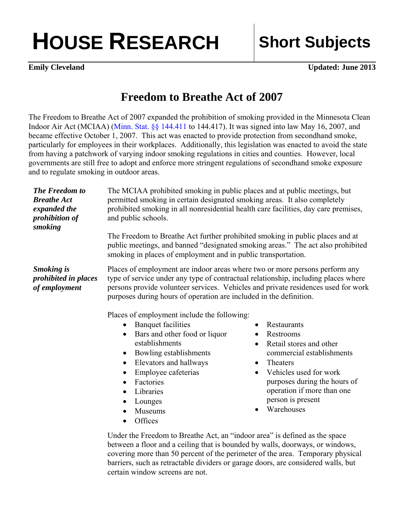## **HOUSE RESEARCH Short Subjects**

**Emily Cleveland** Updated: June 2013

## **Freedom to Breathe Act of 2007**

The Freedom to Breathe Act of 2007 expanded the prohibition of smoking provided in the Minnesota Clean Indoor Air Act (MCIAA) ([Minn. Stat. §§ 144.411](https://www.revisor.mn.gov/statutes/?id=144.411) to 144.417). It was signed into law May 16, 2007, and became effective October 1, 2007. This act was enacted to provide protection from secondhand smoke, particularly for employees in their workplaces. Additionally, this legislation was enacted to avoid the state from having a patchwork of varying indoor smoking regulations in cities and counties. However, local governments are still free to adopt and enforce more stringent regulations of secondhand smoke exposure and to regulate smoking in outdoor areas.

| <b>The Freedom to</b><br><b>Breathe Act</b><br>expanded the<br>prohibition of<br>smoking | The MCIAA prohibited smoking in public places and at public meetings, but<br>permitted smoking in certain designated smoking areas. It also completely<br>prohibited smoking in all nonresidential health care facilities, day care premises,<br>and public schools.                                                                                                                                                                                                                                                                                                                                                                                                                                                   |                                                                                                                                                                                                                                                                                                       |
|------------------------------------------------------------------------------------------|------------------------------------------------------------------------------------------------------------------------------------------------------------------------------------------------------------------------------------------------------------------------------------------------------------------------------------------------------------------------------------------------------------------------------------------------------------------------------------------------------------------------------------------------------------------------------------------------------------------------------------------------------------------------------------------------------------------------|-------------------------------------------------------------------------------------------------------------------------------------------------------------------------------------------------------------------------------------------------------------------------------------------------------|
|                                                                                          | The Freedom to Breathe Act further prohibited smoking in public places and at<br>public meetings, and banned "designated smoking areas." The act also prohibited<br>smoking in places of employment and in public transportation.                                                                                                                                                                                                                                                                                                                                                                                                                                                                                      |                                                                                                                                                                                                                                                                                                       |
| <b>Smoking</b> is<br>prohibited in places<br>of employment                               | Places of employment are indoor areas where two or more persons perform any<br>type of service under any type of contractual relationship, including places where<br>persons provide volunteer services. Vehicles and private residences used for work<br>purposes during hours of operation are included in the definition.<br>Places of employment include the following:<br><b>Banquet facilities</b><br>$\bullet$<br>Bars and other food or liquor<br>$\bullet$<br>establishments<br>Bowling establishments<br>$\bullet$<br>Elevators and hallways<br>$\bullet$<br>Employee cafeterias<br>$\bullet$<br>Factories<br>$\bullet$<br>Libraries<br>$\bullet$<br>Lounges<br>$\bullet$<br>Museums<br>$\bullet$<br>Offices | Restaurants<br>$\bullet$<br>Restrooms<br>$\bullet$<br>Retail stores and other<br>$\bullet$<br>commercial establishments<br>Theaters<br>$\bullet$<br>Vehicles used for work<br>$\bullet$<br>purposes during the hours of<br>operation if more than one<br>person is present<br>Warehouses<br>$\bullet$ |
|                                                                                          | $\bullet$<br>Under the Freedom to Breathe Act, an "indoor area" is defined as the space                                                                                                                                                                                                                                                                                                                                                                                                                                                                                                                                                                                                                                |                                                                                                                                                                                                                                                                                                       |

between a floor and a ceiling that is bounded by walls, doorways, or windows, covering more than 50 percent of the perimeter of the area. Temporary physical barriers, such as retractable dividers or garage doors, are considered walls, but certain window screens are not.